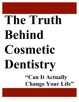# **The Truth Behind Cosmetic Dentistry "Can It Actually Change Your Life"**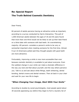# **Re: Special Report The Truth Behind Cosmetic Dentistry**

Dear Friend,

84 percent of adults perceive having an attractive smile as important, according to a survey conducted by Harris Interactive. This poll of 1,000 American adults between the ages of 18 and 50 years found that more than one-third would not be likely to set up their best friend on a blind date with someone with bad teeth. An overwhelming majority--85 percent--considers a person's smile to be very or somewhat important when meeting someone for the first time. Almost 9 out 10 Americans polled said they thought people with good teeth are more attractive.

Fortunately, improving a smile is now more accessible than ever because cosmetic dentistry is available to just about everyone. Even the subtlest change in your smile can make a dramatic difference in the way you look and feel about yourself, and the way others perceive you. Talk to us and ask about white fillings, teeth whitening, dental bonding, dental crowns and dental veneers. Then sit back in your chair and wait for your new life to begin.

#### *"When Changing Your Image, Start With Your Smile"*

According to studies by social psychologists, most people spend about 30 seconds appraising you before they begin to form a laundry list of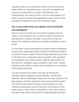impressions about you. Impressions formed in the first 30 seconds might include: your educational level; your career competence and success; your personality; your level of sophistication; your trustworthiness; your sense of humor; and your social standing. For better or worse, this means that appearances count in today's world, according to Susan Bixler's book *The Professional Image*.

# *Can a new smile make you appear more successful and intelligent?*

Previous consumer studies have proved that a beautiful smile will make you more attractive. But according to research conducted by Beall Research & Training of Chicago, a new smile will make you appear more intelligent, interesting, successful and wealthy to others as well.

Dr. Anne Beall, a social psychologist and market research professional carried out the independent study on behalf of the American Academy of Cosmetic Dentistry (AACD). Pictures of eight individuals were shown to 528 Americans, a statistically valid cross section of the population. The respondents were asked to quickly judge the eight people as to how attractive, intelligent, happy, successful in their career, friendly, interesting, kind, wealthy, popular with the opposite sex, and sensitive to other people they were.

Two sets of photos were created, with each set showing four individuals before undergoing cosmetic dentistry, and four after treatment. Half the respondents viewed set A, the other half set B. The eight subjects viewed by respondents were evenly divided by gender. Two had mild improvements through cosmetic dentistry, two had moderate improvements, and four had major improvements to their smiles, to give a wide range for respondents to view. None, however, had visibly rotten teeth, missing teeth or catastrophically bad dental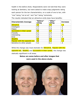health in the before shots. Respondents were not told that they were looking at dentistry, but were asked to make snap judgments rating each person for the ten characteristics, on a scale of one to ten, with "one" being "not at all," and "ten" being "extremely.

| <b>Characteristic Average</b> | "Before"<br>rating | "After"<br>rating | <b>Increase</b> |
|-------------------------------|--------------------|-------------------|-----------------|
| <b>Attractive</b>             | 4.6                | 5.9               | 1.3             |
| Intelligent                   | 5.9                | 6.5               | .6              |
| Happy                         | 6.2                | 6.8               | .4              |
| Successful in their career    | 5.8                | 6.7               | .9              |
| Friendly                      | 6.3                | 6.8               | .5              |
| Interesting                   | 5.4                | 6.1               | .7              |
| Kind                          | 6.0                | 6.4               | .4              |
| <b>Wealthy</b>                | 4.9                | 5.9               | 1.0             |
| Popular with the opposite sex | 5.0                | 6.2               | 1.2             |
| Sensitive to other people     | 5.6                | 6.1               | .5              |

The results indicated that an attractive smile does have benefits:

While the change was most dramatic for **Attractive**, Popular with the opposite sex, Wealthy and Successful in their career, the change was statically significant in all areas.

## **Below are some before and after images that were used in the above study.**

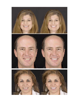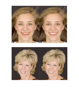

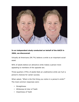

## **In an independent study conducted on behalf of the AACD in 2004, we discovered:**

Virtually all Americans (99.7%) believe a smile is an important social asset.

96% of adults believe an attractive smile makes a person more appealing to members of the opposite sex.

Three-quarters (74%) of adults feels an unattractive smile can hurt a person's chances for career success.

When asked, *"What is the first thing you notice in a person's smile?"* The most common responses were:

- Straightness
- Whiteness & Color of Teeth
- Cleanliness of Teeth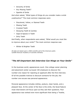- Sincerity of Smile
- Any Missing Teeth?
- Sparkle of Smile

And when asked, *"What types of things do you consider make a smile unattractive?"* The most common responses were:

- Discolored, Yellow, or Stained Teeth
- Missing Teeth
- Crooked Teeth
- Decaying Teeth & Cavities
- Gaps & Spaces in Teeth
- Dirty Teeth

And finally, when respondents were asked, *"What would you most like to improve about your smile?"* The most common response was:

• Whiter & Brighter Teeth

*All stats are based upon a 2004 scientific poll of the American public. ©2008 American Academy of Cosmetic Dentistry*

## *"The All-Important Job Interview Can Hinge on Your Smile"*

In the business world, appearances count. One college career planning and placement center surveyed 150 employers to discover the number-one reason for rejecting an applicant after the first interview. Of all the possible motives to discount someone for the job, the number one excuse was personal appearance.

Personal appearance includes clothes, posture, clean hands, and a pleasant face. At the center of the face is the smile, the facial feature most interviewers will focus upon as they ask their questions. Poor appearance was ranked even more significant than being a "hostile,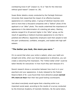overbearing know-it-all" (reason no. 9) or "late for the interview without good reason" (reason no. 28).

Susan Bixler details a study conducted by the Fairleigh Dickinson University that researched the impact of an effective business appearance on a starting salary. A group of identical resumes were sent to more than a thousand companies with a "before" photo of the applicant or an "after" photo. The results underlined the importance of appearance in the determination of a starting job salary. Starting salaries ranged 8 to 20 percent higher in the "after" group, as the result of upgrading a mediocre business appearance to one that is polished and effective. Apparently employers want their people to look the part--professional, confident, energetic, and loaded with high selfesteem.

#### *"The better you look, the more you earn."*

It's no secret that when your smile is radiant, when your teeth are straight and white, when your facial appearance is attractive, you can create a welcoming first impression. The "million-dollar smile" could be taken literally for executives--in how much they earn because of it.

Recent research shows a connection between how much is in your paycheck and your appearance. A study released by the Federal Reserve Bank of St. Louis found that more attractive people **earned 5% more an hour** than their less good-looking counterparts.

Just about everybody would agree that a dazzling smile is an important social asset, according to the results of a survey conducted by the American Academy of Cosmetic Dentistry. By the same token,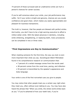74 percent of those surveyed said an unattractive smile can hurt a person's chances for career success.

If you're self-conscious about your smile, your job performance may suffer. Yet if your smile is bright and genuine, chances are you exude confidence and good cheer, which makes you easily approachable and pleasant for business transactions.

The truth is, however, that few people are blessed with perfect smiles. And luckily, you don't have to be a high-earning executive to afford a million-dollar smile. With the latest advances in dentistry, including smile whitening, straightening, or replacing teeth, many procedures can be completed in two or three visits.

#### *"First Impressions are Key to Communication"*

When meeting someone for the first time, the way you look is even more important than what you say. Sociolinguist Albert Mehrabian found in his comprehensive research on communication that:

- 7 percent of a verbal message comes from the words used
- 38 percent comes from the vocal tone, pacing, and inflection
- 55 percent is transmitted by the speaker's appearance and body language.

Your smile is one of the first nonverbal cues you give to people.

You may notice that other people treat you a certain way right when they meet you, often without even talking to you. You may have also heard the phrase that "When you smile, the whole world smiles back at you." If you're ashamed of how your teeth look, if you're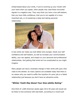embarrassed about your smile, if you're covering up your mouth with your hand when you speak, other people may read these nonverbal signals in a negative way. They may think you have a low self-esteem, that you have little confidence, that you're not capable of a more important job, or of sustaining a deep and lasting personal relationship.



A new smile can make you look better and younger, boost your selfconfidence and self-esteem, as well as increase your communication ability, your sex appeal, and impact on your personal and professional relationships. And getting that smile isn't as complicated as you might imagine.

Many people can have a dramatic change in their smile with just a few visits to the dentist. So many options are available today that there is no reason why you need to suffer the injustice of a poor job or a failed relationship just because you don't have an attractive smile.

#### *"Whiter Teeth May Boost Your Kiss-ability Rating"*

One-third of 1,000 American adults ages 18 to 50 years old would not be likely to kiss someone with bad teeth, according to a recent poll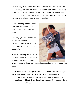conducted by Harris Interactive. Bad teeth are often associated with poor oral hygiene, low self-worth, and a poor appearance. Conversely, whiter teeth are associated with beauty and health, as well as youth and energy, and perhaps not surprisingly, tooth whitening is the most common cosmetic service provided by dentists.

Tooth whitening removes stains from teeth caused by coffee, teas, tobacco, food, wine and tartar.

Generally, you can whiten your teeth using one of three methods: in-office whitening, athome whitening, or whitening toothpaste.

In-office whitening has the most dramatic results with your teeth becoming up to eight shades



whiter in about an hour while the at-home method can take about two weeks.

Great smiles attract other great smiles, the experts add. According to the Academy of General Dentistry, people with noticeable dental neglect are 32 times more likely to have a partner with noticeable neglect. People without visible dental neglect are 5.4 times more likely to have a comparable partner.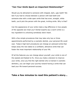#### *"Can Your Smile Spark an Important Relationship?"*

Would you be attracted to someone with chipped, dark, ugly teeth? We bet if you had to choose between a person with bad teeth and someone else with a wide open smile that has even, straight, white teeth, you'd pick the person with the great, inviting smile. Why is that?

Can the appearance of your smile make a big difference in how people of the opposite sex treat you? Dental experts say a warm smile is a key ingredient to unlocking somebody else's heart.

With a few simple procedures that may take only two or three appointments performed by a cosmetic dentist, your personal life could soar. Today's high-tech procedures can change an awkward smile that keeps away the new dates to a confident, attractive smile that can foster the most important relationship of your life.

Of all the features you can change about yourself, your smile is one of the easiest and fastest to fix. Once you make a decision to improve your smile, once you find the right dentist who is trained in cosmetic dentistry, you can begin your journey toward having a smile that can lead your life toward personal success.

## **Take a few minutes to read this patient's story…**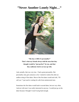# **"Never Another Lonely Night…"**



**"She has a GREAT personality!" That's what my friends always told the men that they thought would be "just perfect" for me, and that they endlessly tried to set me up with.**

And, actually, that was very true. I had a great personality. But personality only gets someone so far. I started to realize this after an endless string of first dates. Most of the first dates would end with, "I'll call you." I got used to waiting for calls from uninterested men.

Sometimes the first dates would lead to second dates, but not very often. And not with men I was really interested in anyway. I would just go on the dates because I thought I wasn't trying hard enough.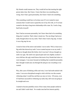My friends would reassure me. They would tell me that meeting the right person takes time. But I knew. I knew that there was something else wrong. Sure I had a great personality, but I knew I had to do something.

This something would have to be done soon if I ever wanted to meet someone that I would want to spend the rest of my life with, or if I at least wanted to develop a long-term relationship with a man. So, I took a long, hard look at myself.

Sure I had an awesome personality, but I knew there had to be something thing else I could do. That's when it struck me. The one thing I had never really thought about was my smile. That's when I took a big step. At least it was a big step for me.

I stood in front of the mirror and smiled. I never smile. Well, at least not a big smile that showed my teeth. I never wanted anyone to see my teeth. I had never thought about this before, but it was true! I always thought my smile was ugly. My teeth were spaced apart and were slightly crooked. I never did have the ugly metal braces that most of my friends had when we were teenagers. I was more focused on building that wonderful personality that I thought would carry me through life and give me everything I ever wanted.

Plus, after years of drinking coffee and wine, I now had teeth marked with stains. I was never disciplined enough to stick with the over-the-counter whitening strips I would buy and then use once or twice. Of course, even if I had been successful at whitening my teeth, they still were not going to be straight and even.

I started to become painfully aware of how many times people smiled at me and I didn't smile back. No wonder men had lost interest quickly.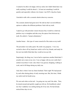I wanted to be able to be happy with my smile, but I didn't think there was really anything I could do about it. At least not something I could do quickly and especially without a lot of pain. I am NOT a big fan of pain.

I decided to talk with a cosmetic dentist about my concerns.

The cosmetic dentist had great news! He told me that I several different options to address the different problems I had with my teeth.

I opted to go with porcelain veneers because they would be a relatively painless way to straighten and take away the spaces from between my teeth. He called it, "instant orthodontics."

Another bonus - this type of veneer erased all of the stains on my teeth!

The procedure was really quick. My smile was gorgeous. I was very excited to show off my brand new smile to all of my friends, and ready for the next inevitable blind date they would set me up with.

Surprisingly, the thing was, I never had to experience another blind date! I actually met a man on my own. I was so happy with my new smile that I smiled everywhere I went. Like when I was grocery shopping, walking to work, and of all things during my daily run.

And, that is where I met my future husband. That's right! We had passed by each other during plenty of early morning runs. But, this time, I think my smile took his breath away.

We met each other on the trail – he going one way and I the other. Then, he turned around and quickly caught up with me. He breathlessly asked me why I suddenly was smiling during all of my runs. He had already noticed three days in row.